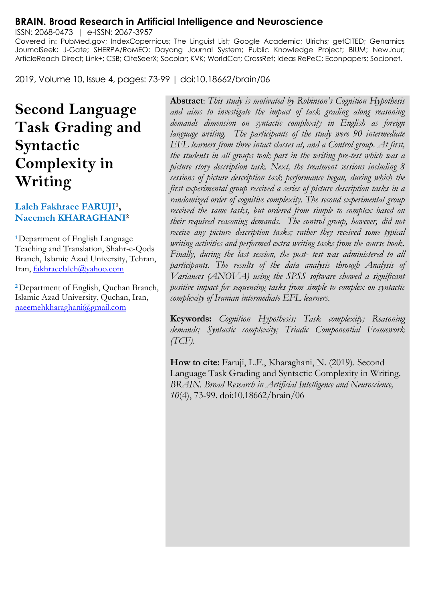#### **BRAIN. Broad Research in Artificial Intelligence and Neuroscience**

ISSN: 2068-0473 | e-ISSN: 2067-3957 Covered in: PubMed.gov; IndexCopernicus; The Linguist List; Google Academic; Ulrichs; getCITED; Genamics JournalSeek; J-Gate; SHERPA/RoMEO; Dayang Journal System; Public Knowledge Project; BIUM; NewJour; ArticleReach Direct; Link+; CSB; CiteSeerX; Socolar; KVK; WorldCat; CrossRef; Ideas RePeC; Econpapers; Socionet.

2019, Volume 10, Issue 4, pages: 73-99 | doi:10.18662/brain/06

# **Second Language Task Grading and Syntactic Complexity in Writing**

#### Laleh Fakhraee FARUJI<sup>1</sup>, **Naeemeh KHARAGHANI<sup>2</sup>**

**<sup>1</sup>**Department of English Language Teaching and Translation, Shahr-e-Qods Branch, Islamic Azad University, Tehran, Iran[, fakhraeelaleh@yahoo.com](mailto:fakhraeelaleh@yahoo.com)

**<sup>2</sup>**Department of English, Quchan Branch, Islamic Azad University, Quchan, Iran, [naeemehkharaghani@gmail.com](mailto:naeemehkharaghani@gmail.com)

**Abstract**: *This study is motivated by Robinson's Cognition Hypothesis and aims to investigate the impact of task grading along reasoning demands dimension on syntactic complexity in English as foreign language writing. The participants of the study were 90 intermediate EFL learners from three intact classes at, and a Control group. At first, the students in all groups took part in the writing pre-test which was a picture story description task. Next, the treatment sessions including 8 sessions of picture description task performance began, during which the first experimental group received a series of picture description tasks in a randomized order of cognitive complexity. The second experimental group received the same tasks, but ordered from simple to complex based on their required reasoning demands. The control group, however, did not receive any picture description tasks; rather they received some typical writing activities and performed extra writing tasks from the course book. Finally, during the last session, the post- test was administered to all participants. The results of the data analysis through Analysis of Variances (ANOVA) using the SPSS software showed a significant positive impact for sequencing tasks from simple to complex on syntactic complexity of Iranian intermediate EFL learners.* 

**Keywords:** *Cognition Hypothesis; Task complexity; Reasoning demands; Syntactic complexity; Triadic Componential Framework (TCF).*

**How to cite:** Faruji, L.F., Kharaghani, N. (2019). Second Language Task Grading and Syntactic Complexity in Writing. *BRAIN. Broad Research in Artificial Intelligence and Neuroscience, 10*(4), 73-99. doi:10.18662/brain/06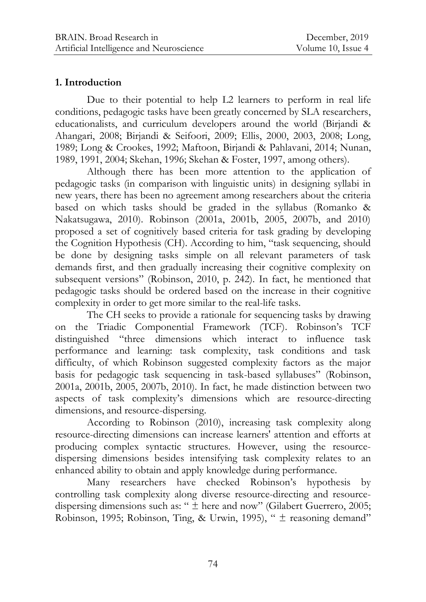## **1. Introduction**

Due to their potential to help L2 learners to perform in real life conditions, pedagogic tasks have been greatly concerned by SLA researchers, educationalists, and curriculum developers around the world (Birjandi & Ahangari, 2008; Birjandi & Seifoori, 2009; Ellis, 2000, 2003, 2008; Long, 1989; Long & Crookes, 1992; Maftoon, Birjandi & Pahlavani, 2014; Nunan, 1989, 1991, 2004; Skehan, 1996; Skehan & Foster, 1997, among others).

Although there has been more attention to the application of pedagogic tasks (in comparison with linguistic units) in designing syllabi in new years, there has been no agreement among researchers about the criteria based on which tasks should be graded in the syllabus (Romanko & Nakatsugawa, 2010). Robinson (2001a, 2001b, 2005, 2007b, and 2010) proposed a set of cognitively based criteria for task grading by developing the Cognition Hypothesis (CH). According to him, "task sequencing, should be done by designing tasks simple on all relevant parameters of task demands first, and then gradually increasing their cognitive complexity on subsequent versions" (Robinson, 2010, p. 242). In fact, he mentioned that pedagogic tasks should be ordered based on the increase in their cognitive complexity in order to get more similar to the real-life tasks.

The CH seeks to provide a rationale for sequencing tasks by drawing on the Triadic Componential Framework (TCF). Robinson"s TCF distinguished "three dimensions which interact to influence task performance and learning: task complexity, task conditions and task difficulty, of which Robinson suggested complexity factors as the major basis for pedagogic task sequencing in task-based syllabuses" (Robinson, 2001a, 2001b, 2005, 2007b, 2010). In fact, he made distinction between two aspects of task complexity's dimensions which are resource-directing dimensions, and resource-dispersing.

According to Robinson (2010), increasing task complexity along resource-directing dimensions can increase learners' attention and efforts at producing complex syntactic structures. However, using the resourcedispersing dimensions besides intensifying task complexity relates to an enhanced ability to obtain and apply knowledge during performance.

Many researchers have checked Robinson's hypothesis by controlling task complexity along diverse resource-directing and resourcedispersing dimensions such as: "  $\pm$  here and now" (Gilabert Guerrero, 2005; Robinson, 1995; Robinson, Ting, & Urwin, 1995), " ± reasoning demand"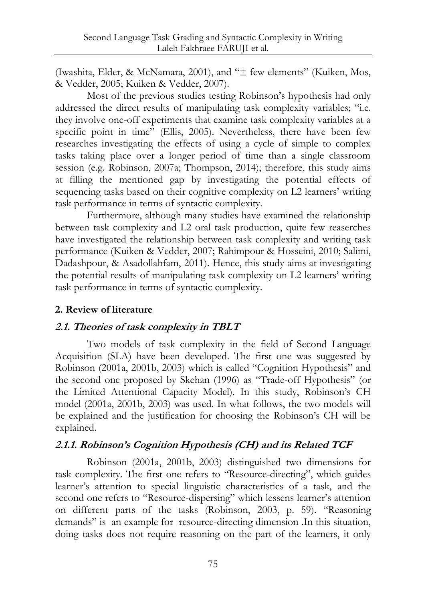(Iwashita, Elder, & McNamara, 2001), and "± few elements" (Kuiken, Mos, & Vedder, 2005; Kuiken & Vedder, 2007).

Most of the previous studies testing Robinson"s hypothesis had only addressed the direct results of manipulating task complexity variables; "i.e. they involve one-off experiments that examine task complexity variables at a specific point in time" (Ellis, 2005). Nevertheless, there have been few researches investigating the effects of using a cycle of simple to complex tasks taking place over a longer period of time than a single classroom session (e.g. Robinson, 2007a; Thompson, 2014); therefore, this study aims at filling the mentioned gap by investigating the potential effects of sequencing tasks based on their cognitive complexity on L2 learners' writing task performance in terms of syntactic complexity.

Furthermore, although many studies have examined the relationship between task complexity and L2 oral task production, quite few reaserches have investigated the relationship between task complexity and writing task performance (Kuiken & Vedder, 2007; Rahimpour & Hosseini, 2010; Salimi, Dadashpour, & Asadollahfam, 2011). Hence, this study aims at investigating the potential results of manipulating task complexity on L2 learners" writing task performance in terms of syntactic complexity.

### **2. Review of literature**

### **2.1. Theories of task complexity in TBLT**

Two models of task complexity in the field of Second Language Acquisition (SLA) have been developed. The first one was suggested by Robinson (2001a, 2001b, 2003) which is called "Cognition Hypothesis" and the second one proposed by Skehan (1996) as "Trade-off Hypothesis" (or the Limited Attentional Capacity Model). In this study, Robinson's CH model (2001a, 2001b, 2003) was used. In what follows, the two models will be explained and the justification for choosing the Robinson"s CH will be explained.

### **2.1.1. Robinson's Cognition Hypothesis (CH) and its Related TCF**

Robinson (2001a, 2001b, 2003) distinguished two dimensions for task complexity. The first one refers to "Resource-directing", which guides learner's attention to special linguistic characteristics of a task, and the second one refers to "Resource-dispersing" which lessens learner's attention on different parts of the tasks (Robinson, 2003, p. 59). "Reasoning demands" is an example for resource-directing dimension .In this situation, doing tasks does not require reasoning on the part of the learners, it only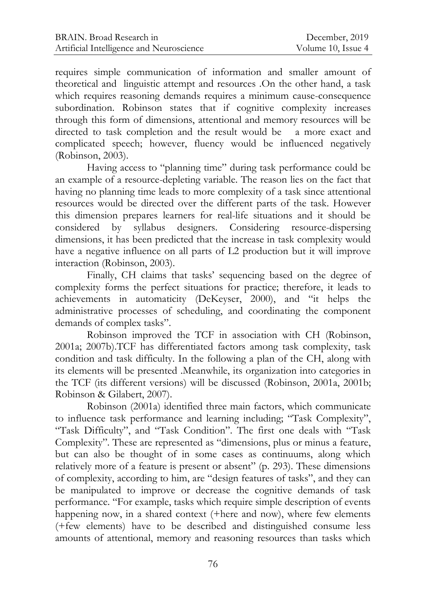requires simple communication of information and smaller amount of theoretical and linguistic attempt and resources .On the other hand, a task which requires reasoning demands requires a minimum cause-consequence subordination. Robinson states that if cognitive complexity increases through this form of dimensions, attentional and memory resources will be directed to task completion and the result would be a more exact and complicated speech; however, fluency would be influenced negatively (Robinson, 2003).

Having access to "planning time" during task performance could be an example of a resource-depleting variable. The reason lies on the fact that having no planning time leads to more complexity of a task since attentional resources would be directed over the different parts of the task. However this dimension prepares learners for real-life situations and it should be considered by syllabus designers. Considering resource-dispersing dimensions, it has been predicted that the increase in task complexity would have a negative influence on all parts of L2 production but it will improve interaction (Robinson, 2003).

Finally, CH claims that tasks' sequencing based on the degree of complexity forms the perfect situations for practice; therefore, it leads to achievements in automaticity (DeKeyser, 2000), and "it helps the administrative processes of scheduling, and coordinating the component demands of complex tasks".

Robinson improved the TCF in association with CH (Robinson, 2001a; 2007b).TCF has differentiated factors among task complexity, task condition and task difficulty. In the following a plan of the CH, along with its elements will be presented .Meanwhile, its organization into categories in the TCF (its different versions) will be discussed (Robinson, 2001a, 2001b; Robinson & Gilabert, 2007).

Robinson (2001a) identified three main factors, which communicate to influence task performance and learning including; "Task Complexity", "Task Difficulty", and "Task Condition". The first one deals with "Task Complexity". These are represented as "dimensions, plus or minus a feature, but can also be thought of in some cases as continuums, along which relatively more of a feature is present or absent" (p. 293). These dimensions of complexity, according to him, are "design features of tasks", and they can be manipulated to improve or decrease the cognitive demands of task performance. "For example, tasks which require simple description of events happening now, in a shared context (+here and now), where few elements (+few elements) have to be described and distinguished consume less amounts of attentional, memory and reasoning resources than tasks which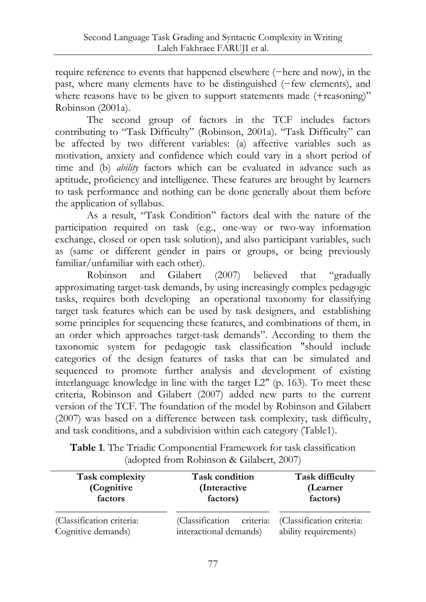require reference to events that happened elsewhere (−here and now), in the past, where many elements have to be distinguished (−few elements), and where reasons have to be given to support statements made (+reasoning)" Robinson (2001a).

The second group of factors in the TCF includes factors contributing to "Task Difficulty" (Robinson, 2001a). "Task Difficulty" can be affected by two different variables: (a) affective variables such as motivation, anxiety and confidence which could vary in a short period of time and (b) *ability* factors which can be evaluated in advance such as aptitude, proficiency and intelligence. These features are brought by learners to task performance and nothing can be done generally about them before the application of syllabus.

As a result, "Task Condition" factors deal with the nature of the participation required on task (e.g., one-way or two-way information exchange, closed or open task solution), and also participant variables, such as (same or different gender in pairs or groups, or being previously familiar/unfamiliar with each other).

Robinson and Gilabert (2007) believed that "gradually approximating target-task demands, by using increasingly complex pedagogic tasks, requires both developing an operational taxonomy for classifying target task features which can be used by task designers, and establishing some principles for sequencing these features, and combinations of them, in an order which approaches target-task demands". According to them the taxonomic system for pedagogic task classification "should include categories of the design features of tasks that can be simulated and sequenced to promote further analysis and development of existing interlanguage knowledge in line with the target L2" (p. 163). To meet these criteria, Robinson and Gilabert (2007) added new parts to the current version of the TCF. The foundation of the model by Robinson and Gilabert (2007) was based on a difference between task complexity, task difficulty, and task conditions, and a subdivision within each category (Table1).

**Table 1**. The Triadic Componential Framework for task classification (adopted from Robinson & Gilabert, 2007)

| Task complexity                                 | Task condition                                          | Task difficulty                                    |  |
|-------------------------------------------------|---------------------------------------------------------|----------------------------------------------------|--|
| (Cognitive                                      | (Interactive                                            | (Learner                                           |  |
| factors                                         | factors)                                                | factors)                                           |  |
| (Classification criteria:<br>Cognitive demands) | criteria:<br>(Classification)<br>interactional demands) | (Classification criteria:<br>ability requirements) |  |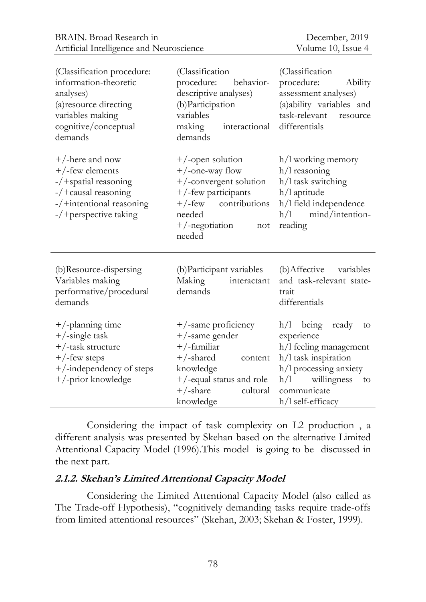| (Classification procedure:<br>information-theoretic<br>analyses)<br>(a) resource directing<br>variables making<br>cognitive/conceptual<br>demands | (Classification<br>procedure:<br>behavior-<br>descriptive analyses)<br>(b) Participation<br>variables<br>making<br>interactional<br>demands                                  | (Classification<br>procedure:<br>Ability<br>assessment analyses)<br>(a)ability variables and<br>task-relevant<br>resource<br>differentials                                            |
|---------------------------------------------------------------------------------------------------------------------------------------------------|------------------------------------------------------------------------------------------------------------------------------------------------------------------------------|---------------------------------------------------------------------------------------------------------------------------------------------------------------------------------------|
| $+/-$ here and now<br>$+$ /-few elements<br>-/+spatial reasoning<br>$-$ /+causal reasoning<br>-/+intentional reasoning<br>-/+perspective taking   | +/-open solution<br>$+$ /-one-way flow<br>+/-convergent solution<br>+/-few participants<br>$+/-$ few<br>contributions<br>needed<br>$+$ /-negotiation<br>not<br>needed        | h/l working memory<br>h/l reasoning<br>h/l task switching<br>h/l aptitude<br>h/l field independence<br>mind/intention-<br>h/l<br>reading                                              |
| (b)Resource-dispersing<br>Variables making<br>performative/procedural<br>demands                                                                  | (b) Participant variables<br>Making<br>interactant<br>demands                                                                                                                | (b) Affective variables<br>and task-relevant state-<br>trait<br>differentials                                                                                                         |
| $+$ /-planning time<br>$+$ /-single task<br>+/-task structure<br>$+$ /-few steps<br>+/-independency of steps<br>+/-prior knowledge                | $+$ /-same proficiency<br>$+$ /-same gender<br>$+$ /-familiar<br>$+$ /-shared<br>content<br>knowledge<br>$+$ /-equal status and role<br>$+/-$ share<br>cultural<br>knowledge | h/l<br>being<br>ready<br>to<br>experience<br>h/l feeling management<br>h/l task inspiration<br>h/l processing anxiety<br>willingness<br>h/l<br>to<br>communicate<br>h/l self-efficacy |

Considering the impact of task complexity on L2 production , a different analysis was presented by Skehan based on the alternative Limited Attentional Capacity Model (1996).This model is going to be discussed in the next part.

#### **2.1.2. Skehan's Limited Attentional Capacity Model**

Considering the Limited Attentional Capacity Model (also called as The Trade-off Hypothesis), "cognitively demanding tasks require trade-offs from limited attentional resources" (Skehan, 2003; Skehan & Foster, 1999).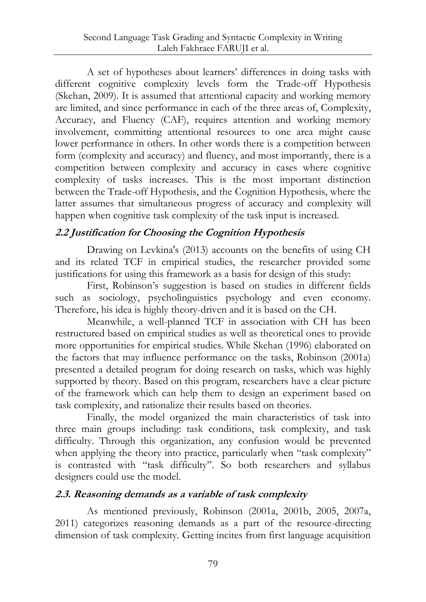A set of hypotheses about learners" differences in doing tasks with different cognitive complexity levels form the Trade-off Hypothesis (Skehan, 2009). It is assumed that attentional capacity and working memory are limited, and since performance in each of the three areas of, Complexity, Accuracy, and Fluency (CAF), requires attention and working memory involvement, committing attentional resources to one area might cause lower performance in others. In other words there is a competition between form (complexity and accuracy) and fluency, and most importantly, there is a competition between complexity and accuracy in cases where cognitive complexity of tasks increases. This is the most important distinction between the Trade-off Hypothesis, and the Cognition Hypothesis, where the latter assumes that simultaneous progress of accuracy and complexity will happen when cognitive task complexity of the task input is increased.

# **2.2 Justification for Choosing the Cognition Hypothesis**

Drawing on Levkina's (2013) accounts on the benefits of using CH and its related TCF in empirical studies, the researcher provided some justifications for using this framework as a basis for design of this study:

First, Robinson's suggestion is based on studies in different fields such as sociology, psycholinguistics psychology and even economy. Therefore, his idea is highly theory-driven and it is based on the CH.

Meanwhile, a well-planned TCF in association with CH has been restructured based on empirical studies as well as theoretical ones to provide more opportunities for empirical studies. While Skehan (1996) elaborated on the factors that may influence performance on the tasks, Robinson (2001a) presented a detailed program for doing research on tasks, which was highly supported by theory. Based on this program, researchers have a clear picture of the framework which can help them to design an experiment based on task complexity, and rationalize their results based on theories.

Finally, the model organized the main characteristics of task into three main groups including: task conditions, task complexity, and task difficulty. Through this organization, any confusion would be prevented when applying the theory into practice, particularly when "task complexity" is contrasted with "task difficulty". So both researchers and syllabus designers could use the model.

# **2.3. Reasoning demands as a variable of task complexity**

As mentioned previously, Robinson (2001a, 2001b, 2005, 2007a, 2011) categorizes reasoning demands as a part of the resource-directing dimension of task complexity. Getting incites from first language acquisition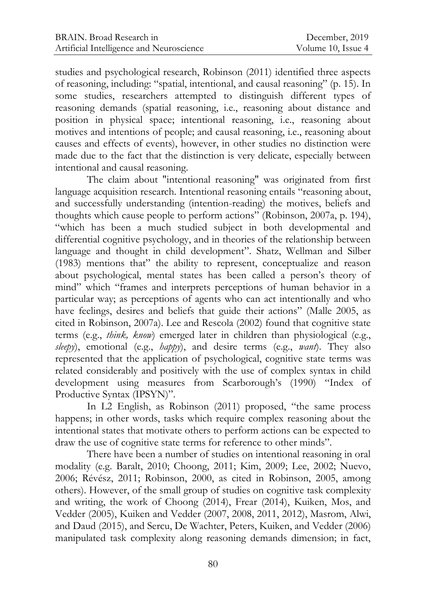studies and psychological research, Robinson (2011) identified three aspects of reasoning, including: "spatial, intentional, and causal reasoning" (p. 15). In some studies, researchers attempted to distinguish different types of reasoning demands (spatial reasoning, i.e., reasoning about distance and position in physical space; intentional reasoning, i.e., reasoning about motives and intentions of people; and causal reasoning, i.e., reasoning about causes and effects of events), however, in other studies no distinction were made due to the fact that the distinction is very delicate, especially between intentional and causal reasoning.

The claim about "intentional reasoning" was originated from first language acquisition research. Intentional reasoning entails "reasoning about, and successfully understanding (intention-reading) the motives, beliefs and thoughts which cause people to perform actions" (Robinson, 2007a, p. 194), "which has been a much studied subject in both developmental and differential cognitive psychology, and in theories of the relationship between language and thought in child development". Shatz, Wellman and Silber (1983) mentions that" the ability to represent, conceptualize and reason about psychological, mental states has been called a person's theory of mind" which "frames and interprets perceptions of human behavior in a particular way; as perceptions of agents who can act intentionally and who have feelings, desires and beliefs that guide their actions" (Malle 2005, as cited in Robinson, 2007a). Lee and Rescola (2002) found that cognitive state terms (e.g., *think, know*) emerged later in children than physiological (e.g., *sleepy*), emotional (e.g., *happy*), and desire terms (e.g., *want*). They also represented that the application of psychological, cognitive state terms was related considerably and positively with the use of complex syntax in child development using measures from Scarborough's (1990) "Index of Productive Syntax (IPSYN)".

In L2 English, as Robinson (2011) proposed, "the same process happens; in other words, tasks which require complex reasoning about the intentional states that motivate others to perform actions can be expected to draw the use of cognitive state terms for reference to other minds".

There have been a number of studies on intentional reasoning in oral modality (e.g. Baralt, 2010; Choong, 2011; Kim, 2009; Lee, 2002; Nuevo, 2006; Révész, 2011; Robinson, 2000, as cited in Robinson, 2005, among others). However, of the small group of studies on cognitive task complexity and writing, the work of Choong (2014), Frear (2014), Kuiken, Mos, and Vedder (2005), Kuiken and Vedder (2007, 2008, 2011, 2012), Masrom, Alwi, and Daud (2015), and Sercu, De Wachter, Peters, Kuiken, and Vedder (2006) manipulated task complexity along reasoning demands dimension; in fact,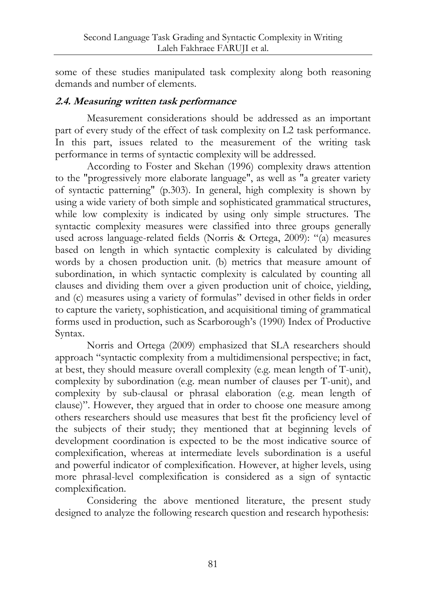some of these studies manipulated task complexity along both reasoning demands and number of elements.

#### **2.4. Measuring written task performance**

Measurement considerations should be addressed as an important part of every study of the effect of task complexity on L2 task performance. In this part, issues related to the measurement of the writing task performance in terms of syntactic complexity will be addressed.

According to Foster and Skehan (1996) complexity draws attention to the "progressively more elaborate language", as well as "a greater variety of syntactic patterning" (p.303). In general, high complexity is shown by using a wide variety of both simple and sophisticated grammatical structures, while low complexity is indicated by using only simple structures. The syntactic complexity measures were classified into three groups generally used across language-related fields (Norris & Ortega, 2009): "(a) measures based on length in which syntactic complexity is calculated by dividing words by a chosen production unit. (b) metrics that measure amount of subordination, in which syntactic complexity is calculated by counting all clauses and dividing them over a given production unit of choice, yielding, and (c) measures using a variety of formulas" devised in other fields in order to capture the variety, sophistication, and acquisitional timing of grammatical forms used in production, such as Scarborough"s (1990) Index of Productive Syntax.

Norris and Ortega (2009) emphasized that SLA researchers should approach "syntactic complexity from a multidimensional perspective; in fact, at best, they should measure overall complexity (e.g. mean length of T-unit), complexity by subordination (e.g. mean number of clauses per T-unit), and complexity by sub-clausal or phrasal elaboration (e.g. mean length of clause)". However, they argued that in order to choose one measure among others researchers should use measures that best fit the proficiency level of the subjects of their study; they mentioned that at beginning levels of development coordination is expected to be the most indicative source of complexification, whereas at intermediate levels subordination is a useful and powerful indicator of complexification. However, at higher levels, using more phrasal-level complexification is considered as a sign of syntactic complexification.

Considering the above mentioned literature, the present study designed to analyze the following research question and research hypothesis: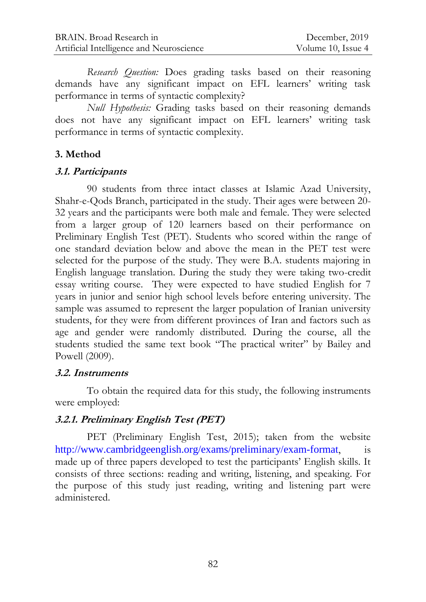*Research Question:* Does grading tasks based on their reasoning demands have any significant impact on EFL learners' writing task performance in terms of syntactic complexity?

*Null Hypothesis:* Grading tasks based on their reasoning demands does not have any significant impact on EFL learners' writing task performance in terms of syntactic complexity.

## **3. Method**

#### **3.1. Participants**

90 students from three intact classes at Islamic Azad University, Shahr-e-Qods Branch, participated in the study. Their ages were between 20- 32 years and the participants were both male and female. They were selected from a larger group of 120 learners based on their performance on Preliminary English Test (PET). Students who scored within the range of one standard deviation below and above the mean in the PET test were selected for the purpose of the study. They were B.A. students majoring in English language translation. During the study they were taking two-credit essay writing course. They were expected to have studied English for 7 years in junior and senior high school levels before entering university. The sample was assumed to represent the larger population of Iranian university students, for they were from different provinces of Iran and factors such as age and gender were randomly distributed. During the course, all the students studied the same text book "The practical writer" by Bailey and Powell (2009).

### **3.2. Instruments**

To obtain the required data for this study, the following instruments were employed:

# **3.2.1. Preliminary English Test (PET)**

PET (Preliminary English Test, 2015); taken from the website <http://www.cambridgeenglish.org/exams/preliminary/exam-format>, is made up of three papers developed to test the participants" English skills. It consists of three sections: reading and writing, listening, and speaking. For the purpose of this study just reading, writing and listening part were administered.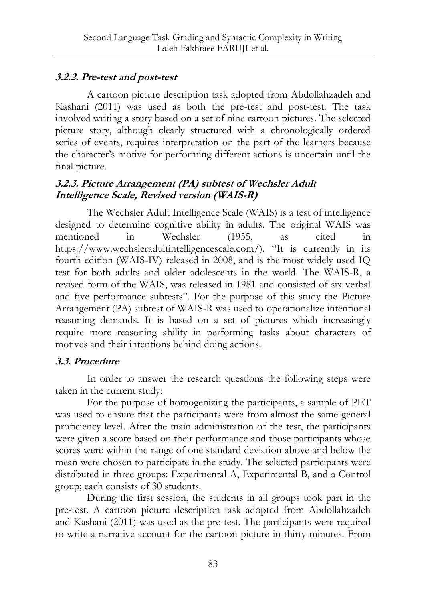# **3.2.2. Pre-test and post-test**

A cartoon picture description task adopted from Abdollahzadeh and Kashani (2011) was used as both the pre-test and post-test. The task involved writing a story based on a set of nine cartoon pictures. The selected picture story, although clearly structured with a chronologically ordered series of events, requires interpretation on the part of the learners because the character"s motive for performing different actions is uncertain until the final picture.

# **3.2.3. Picture Arrangement (PA) subtest of Wechsler Adult Intelligence Scale, Revised version (WAIS-R)**

The Wechsler Adult Intelligence Scale (WAIS) is a test of intelligence designed to determine [cognitive ability](https://en.wikipedia.org/wiki/Cognitive_ability) in adults. The original WAIS was mentioned in [Wechsler](https://en.wikipedia.org/wiki/David_Wechsler) (1955, as cited in https://www.wechsleradultintelligencescale.com/). "It is currently in its fourth edition (WAIS-IV) released in 2008, and is the most widely used IQ test for both adults and older adolescents in the world. The WAIS-R, a revised form of the WAIS, was released in 1981 and consisted of six verbal and five performance subtests". For the purpose of this study the Picture Arrangement (PA) subtest of WAIS-R was used to operationalize intentional reasoning demands. It is based on a set of pictures which increasingly require more reasoning ability in performing tasks about characters of motives and their intentions behind doing actions.

# **3.3. Procedure**

In order to answer the research questions the following steps were taken in the current study:

For the purpose of homogenizing the participants, a sample of PET was used to ensure that the participants were from almost the same general proficiency level. After the main administration of the test, the participants were given a score based on their performance and those participants whose scores were within the range of one standard deviation above and below the mean were chosen to participate in the study. The selected participants were distributed in three groups: Experimental A, Experimental B, and a Control group; each consists of 30 students.

During the first session, the students in all groups took part in the pre-test. A cartoon picture description task adopted from Abdollahzadeh and Kashani (2011) was used as the pre-test. The participants were required to write a narrative account for the cartoon picture in thirty minutes. From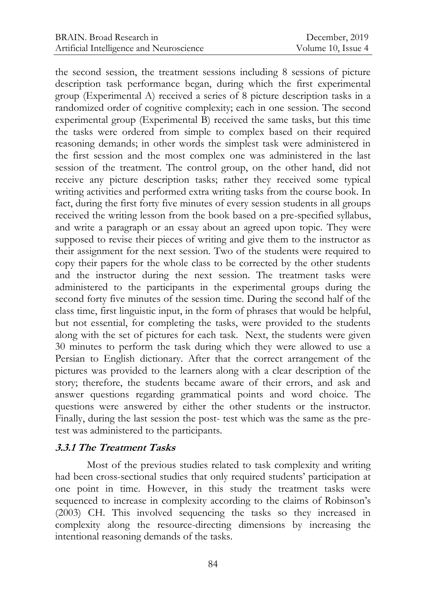the second session, the treatment sessions including 8 sessions of picture description task performance began, during which the first experimental group (Experimental A) received a series of 8 picture description tasks in a randomized order of cognitive complexity; each in one session. The second experimental group (Experimental B) received the same tasks, but this time the tasks were ordered from simple to complex based on their required reasoning demands; in other words the simplest task were administered in the first session and the most complex one was administered in the last session of the treatment. The control group, on the other hand, did not receive any picture description tasks; rather they received some typical writing activities and performed extra writing tasks from the course book. In fact, during the first forty five minutes of every session students in all groups received the writing lesson from the book based on a pre-specified syllabus, and write a paragraph or an essay about an agreed upon topic. They were supposed to revise their pieces of writing and give them to the instructor as their assignment for the next session. Two of the students were required to copy their papers for the whole class to be corrected by the other students and the instructor during the next session. The treatment tasks were administered to the participants in the experimental groups during the second forty five minutes of the session time. During the second half of the class time, first linguistic input, in the form of phrases that would be helpful, but not essential, for completing the tasks, were provided to the students along with the set of pictures for each task. Next, the students were given 30 minutes to perform the task during which they were allowed to use a Persian to English dictionary. After that the correct arrangement of the pictures was provided to the learners along with a clear description of the story; therefore, the students became aware of their errors, and ask and answer questions regarding grammatical points and word choice. The questions were answered by either the other students or the instructor. Finally, during the last session the post- test which was the same as the pretest was administered to the participants.

### **3.3.1 The Treatment Tasks**

Most of the previous studies related to task complexity and writing had been cross-sectional studies that only required students' participation at one point in time. However, in this study the treatment tasks were sequenced to increase in complexity according to the claims of Robinson's (2003) CH. This involved sequencing the tasks so they increased in complexity along the resource-directing dimensions by increasing the intentional reasoning demands of the tasks.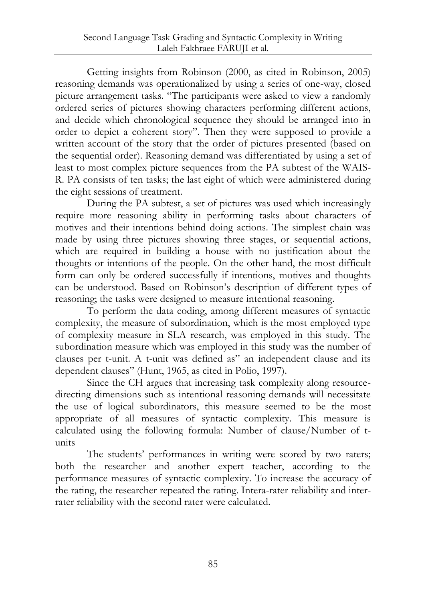Getting insights from Robinson (2000, as cited in Robinson, 2005) reasoning demands was operationalized by using a series of one-way, closed picture arrangement tasks. "The participants were asked to view a randomly ordered series of pictures showing characters performing different actions, and decide which chronological sequence they should be arranged into in order to depict a coherent story". Then they were supposed to provide a written account of the story that the order of pictures presented (based on the sequential order). Reasoning demand was differentiated by using a set of least to most complex picture sequences from the PA subtest of the WAIS-R. PA consists of ten tasks; the last eight of which were administered during the eight sessions of treatment.

During the PA subtest, a set of pictures was used which increasingly require more reasoning ability in performing tasks about characters of motives and their intentions behind doing actions. The simplest chain was made by using three pictures showing three stages, or sequential actions, which are required in building a house with no justification about the thoughts or intentions of the people. On the other hand, the most difficult form can only be ordered successfully if intentions, motives and thoughts can be understood. Based on Robinson"s description of different types of reasoning; the tasks were designed to measure intentional reasoning.

To perform the data coding, among different measures of syntactic complexity, the measure of subordination, which is the most employed type of complexity measure in SLA research, was employed in this study. The subordination measure which was employed in this study was the number of clauses per t-unit. A t-unit was defined as" an independent clause and its dependent clauses" (Hunt, 1965, as cited in Polio, 1997).

Since the CH argues that increasing task complexity along resourcedirecting dimensions such as intentional reasoning demands will necessitate the use of logical subordinators, this measure seemed to be the most appropriate of all measures of syntactic complexity. This measure is calculated using the following formula: Number of clause/Number of tunits

The students' performances in writing were scored by two raters; both the researcher and another expert teacher, according to the performance measures of syntactic complexity. To increase the accuracy of the rating, the researcher repeated the rating. Intera-rater reliability and interrater reliability with the second rater were calculated.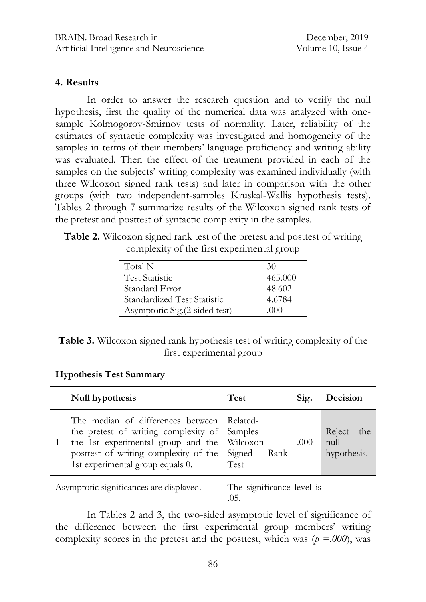#### **4. Results**

In order to answer the research question and to verify the null hypothesis, first the quality of the numerical data was analyzed with onesample Kolmogorov-Smirnov tests of normality. Later, reliability of the estimates of syntactic complexity was investigated and homogeneity of the samples in terms of their members' language proficiency and writing ability was evaluated. Then the effect of the treatment provided in each of the samples on the subjects' writing complexity was examined individually (with three Wilcoxon signed rank tests) and later in comparison with the other groups (with two independent-samples Kruskal-Wallis hypothesis tests). Tables 2 through 7 summarize results of the Wilcoxon signed rank tests of the pretest and posttest of syntactic complexity in the samples.

**Table 2.** Wilcoxon signed rank test of the pretest and posttest of writing complexity of the first experimental group

| Total N                        | 30      |
|--------------------------------|---------|
| <b>Test Statistic</b>          | 465.000 |
| Standard Error                 | 48.602  |
| Standardized Test Statistic    | 4.6784  |
| Asymptotic Sig. (2-sided test) | (1)(1)  |
|                                |         |

| Table 3. Wilcoxon signed rank hypothesis test of writing complexity of the |  |
|----------------------------------------------------------------------------|--|
| first experimental group                                                   |  |

| Null hypothesis                                                                                                                                                                                      | <b>Test</b>                                     | Sig. | Decision                             |
|------------------------------------------------------------------------------------------------------------------------------------------------------------------------------------------------------|-------------------------------------------------|------|--------------------------------------|
| The median of differences between<br>the pretest of writing complexity of Samples<br>the 1st experimental group and the<br>posttest of writing complexity of the<br>1st experimental group equals 0. | - Related<br>Wilcoxon<br>Signed<br>Rank<br>Test | .000 | Reject<br>the<br>null<br>hypothesis. |
| Asymptotic significances are displayed.                                                                                                                                                              | The significance level is                       |      |                                      |

**Hypothesis Test Summary**

.05.

In Tables 2 and 3, the two-sided asymptotic level of significance of the difference between the first experimental group members' writing complexity scores in the pretest and the posttest, which was  $(p = .000)$ , was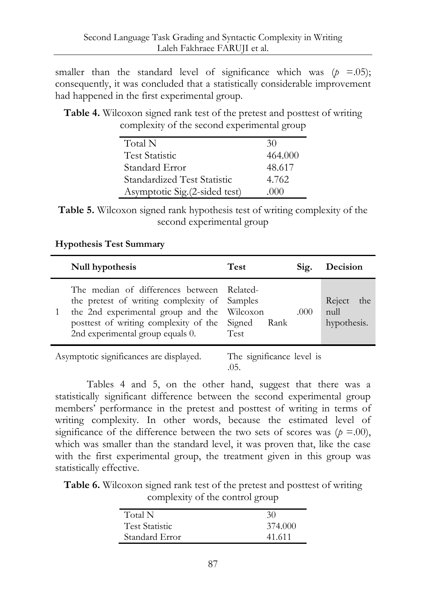smaller than the standard level of significance which was  $(p = .05)$ ; consequently, it was concluded that a statistically considerable improvement had happened in the first experimental group.

**Table 4.** Wilcoxon signed rank test of the pretest and posttest of writing complexity of the second experimental group

| Total N                        | 30      |
|--------------------------------|---------|
| <b>Test Statistic</b>          | 464,000 |
| Standard Error                 | 48.617  |
| Standardized Test Statistic    | 4.762   |
| Asymptotic Sig. (2-sided test) | (1)(1)  |

**Table 5.** Wilcoxon signed rank hypothesis test of writing complexity of the second experimental group

#### **Hypothesis Test Summary**

| Null hypothesis                                                                                                                                                                                                        | <b>Test</b>                       | Sig. | Decision                             |
|------------------------------------------------------------------------------------------------------------------------------------------------------------------------------------------------------------------------|-----------------------------------|------|--------------------------------------|
| The median of differences between Related-<br>the pretest of writing complexity of Samples<br>the 2nd experimental group and the Wilcoxon<br>posttest of writing complexity of the<br>2nd experimental group equals 0. | Signed Rank<br><b>Test</b>        | .000 | Reject<br>the<br>null<br>hypothesis. |
| Asymptotic significances are displayed.                                                                                                                                                                                | The significance level is<br>.05. |      |                                      |

Tables 4 and 5, on the other hand, suggest that there was a statistically significant difference between the second experimental group members" performance in the pretest and posttest of writing in terms of writing complexity. In other words, because the estimated level of significance of the difference between the two sets of scores was  $(p = .00)$ , which was smaller than the standard level, it was proven that, like the case with the first experimental group, the treatment given in this group was statistically effective.

**Table 6.** Wilcoxon signed rank test of the pretest and posttest of writing complexity of the control group

| Total N               | 30      |
|-----------------------|---------|
| <b>Test Statistic</b> | 374.000 |
| Standard Error        | 41.611  |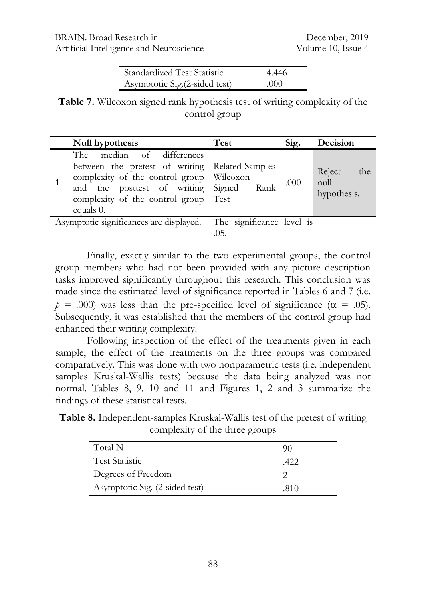| Standardized Test Statistic    | 4.446 |
|--------------------------------|-------|
| Asymptotic Sig. (2-sided test) | .000  |

**Table 7.** Wilcoxon signed rank hypothesis test of writing complexity of the control group

| Null hypothesis                                                                                                                                                                                                    | Test | Sig. | Decision                             |
|--------------------------------------------------------------------------------------------------------------------------------------------------------------------------------------------------------------------|------|------|--------------------------------------|
| The median of differences<br>between the pretest of writing Related-Samples<br>complexity of the control group Wilcoxon<br>and the posttest of writing Signed<br>complexity of the control group Test<br>equals 0. | Rank | .000 | Reject<br>the<br>null<br>hypothesis. |
| Asymptotic significances are displayed. The significance level is                                                                                                                                                  |      |      |                                      |

Finally, exactly similar to the two experimental groups, the control group members who had not been provided with any picture description tasks improved significantly throughout this research. This conclusion was made since the estimated level of significance reported in Tables 6 and 7 (i.e.  $p = .000$  was less than the pre-specified level of significance ( $\alpha = .05$ ). Subsequently, it was established that the members of the control group had enhanced their writing complexity.

Following inspection of the effect of the treatments given in each sample, the effect of the treatments on the three groups was compared comparatively. This was done with two nonparametric tests (i.e. independent samples Kruskal-Wallis tests) because the data being analyzed was not normal. Tables 8, 9, 10 and 11 and Figures 1, 2 and 3 summarize the findings of these statistical tests.

**Table 8.** Independent-samples Kruskal-Wallis test of the pretest of writing complexity of the three groups

| Total N                        | YO   |
|--------------------------------|------|
| <b>Test Statistic</b>          | .422 |
| Degrees of Freedom             |      |
| Asymptotic Sig. (2-sided test) | .810 |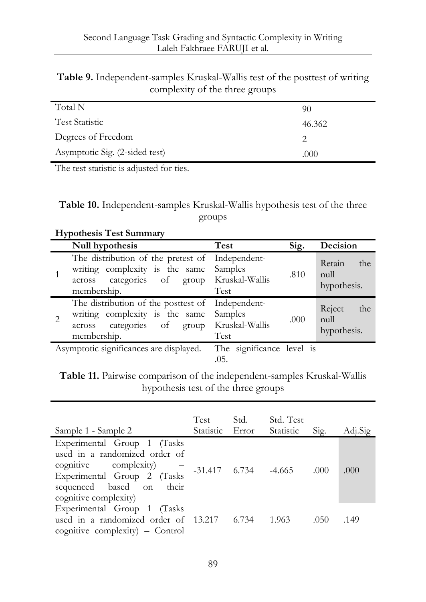| Table 9. Independent-samples Kruskal-Wallis test of the posttest of writing |
|-----------------------------------------------------------------------------|
| complexity of the three groups                                              |

| Total N                        | 90     |
|--------------------------------|--------|
| <b>Test Statistic</b>          | 46.362 |
| Degrees of Freedom             |        |
| Asymptotic Sig. (2-sided test) | .000   |

The test statistic is adjusted for ties.

**Table 10.** Independent-samples Kruskal-Wallis hypothesis test of the three groups

| <b>Hypothesis Test Summary</b> |                                                                                                                                     |                                                   |      |                                      |  |  |
|--------------------------------|-------------------------------------------------------------------------------------------------------------------------------------|---------------------------------------------------|------|--------------------------------------|--|--|
|                                | Null hypothesis                                                                                                                     | Test                                              | Sig. | Decision                             |  |  |
|                                | The distribution of the pretest of<br>writing complexity is the same<br>categories of group Kruskal-Wallis<br>across<br>membership. | Independent-<br>Samples<br>Test                   | .810 | Retain<br>the<br>null<br>hypothesis. |  |  |
|                                | The distribution of the posttest of<br>writing complexity is the same<br>categories of<br>group<br>across<br>membership.            | Independent-<br>Samples<br>Kruskal-Wallis<br>Test | .000 | Reject<br>the<br>null<br>hypothesis. |  |  |
|                                | Asymptotic significances are displayed.                                                                                             | The significance level is<br>.05.                 |      |                                      |  |  |

**Table 11.** Pairwise comparison of the independent-samples Kruskal-Wallis hypothesis test of the three groups

| Sample 1 - Sample 2                                                                                                                                                          | Test<br>Statistic Error | Std.                       | Std. Test<br><b>Statistic</b> | Sig. | Adj.Sig |
|------------------------------------------------------------------------------------------------------------------------------------------------------------------------------|-------------------------|----------------------------|-------------------------------|------|---------|
| Experimental Group 1 (Tasks<br>used in a randomized order of<br>cognitive complexity)<br>Experimental Group 2 (Tasks<br>sequenced based on<br>their<br>cognitive complexity) |                         | $-31.417$ $6.734$ $-4.665$ |                               | .000 | .000    |
| Experimental Group 1 (Tasks<br>used in a randomized order of 13.217 6.734<br>cognitive complexity) $-$ Control                                                               |                         |                            | - 1.963                       | .050 | .149    |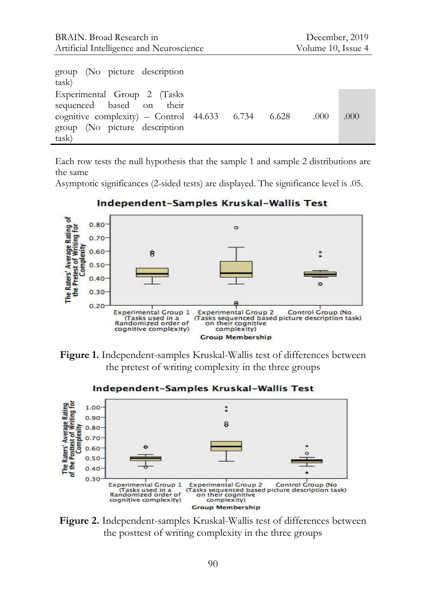| group (No picture description<br>task)                                                                                                                    |  |      |      |
|-----------------------------------------------------------------------------------------------------------------------------------------------------------|--|------|------|
| Experimental Group 2 (Tasks<br>sequenced based on their<br>cognitive complexity) $-$ Control 44.633 6.734 6.628<br>group (No picture description<br>task) |  | .000 | .000 |

Each row tests the null hypothesis that the sample 1 and sample 2 distributions are the same

Asymptotic significances (2-sided tests) are displayed. The significance level is .05.



Independent-Samples Kruskal-Wallis Test

**Figure 1.** Independent-samples Kruskal-Wallis test of differences between the pretest of writing complexity in the three groups



Independent-Samples Kruskal-Wallis Test

**Figure 2.** Independent-samples Kruskal-Wallis test of differences between the posttest of writing complexity in the three groups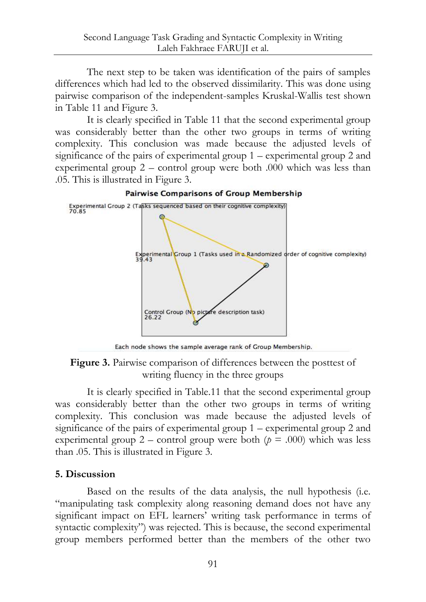The next step to be taken was identification of the pairs of samples differences which had led to the observed dissimilarity. This was done using pairwise comparison of the independent-samples Kruskal-Wallis test shown in Table 11 and Figure 3.

It is clearly specified in Table 11 that the second experimental group was considerably better than the other two groups in terms of writing complexity. This conclusion was made because the adjusted levels of significance of the pairs of experimental group 1 – experimental group 2 and experimental group 2 – control group were both .000 which was less than .05. This is illustrated in Figure 3.



**Pairwise Comparisons of Group Membership** 

Each node shows the sample average rank of Group Membership. **Figure 3.** Pairwise comparison of differences between the posttest of

writing fluency in the three groups

It is clearly specified in Table.11 that the second experimental group was considerably better than the other two groups in terms of writing complexity. This conclusion was made because the adjusted levels of significance of the pairs of experimental group 1 – experimental group 2 and experimental group 2 – control group were both  $(p = .000)$  which was less than .05. This is illustrated in Figure 3.

### **5. Discussion**

Based on the results of the data analysis, the null hypothesis (i.e. "manipulating task complexity along reasoning demand does not have any significant impact on EFL learners' writing task performance in terms of syntactic complexity") was rejected. This is because, the second experimental group members performed better than the members of the other two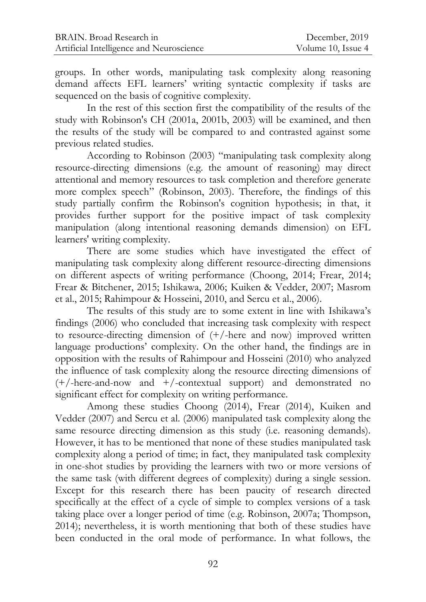groups. In other words, manipulating task complexity along reasoning demand affects EFL learners" writing syntactic complexity if tasks are sequenced on the basis of cognitive complexity.

In the rest of this section first the compatibility of the results of the study with Robinson's CH (2001a, 2001b, 2003) will be examined, and then the results of the study will be compared to and contrasted against some previous related studies.

According to Robinson (2003) "manipulating task complexity along resource-directing dimensions (e.g. the amount of reasoning) may direct attentional and memory resources to task completion and therefore generate more complex speech" (Robinson, 2003). Therefore, the findings of this study partially confirm the Robinson's cognition hypothesis; in that, it provides further support for the positive impact of task complexity manipulation (along intentional reasoning demands dimension) on EFL learners' writing complexity.

There are some studies which have investigated the effect of manipulating task complexity along different resource-directing dimensions on different aspects of writing performance (Choong, 2014; Frear, 2014; Frear & Bitchener, 2015; Ishikawa, 2006; Kuiken & Vedder, 2007; Masrom et al., 2015; Rahimpour & Hosseini, 2010, and Sercu et al., 2006).

The results of this study are to some extent in line with Ishikawa"s findings (2006) who concluded that increasing task complexity with respect to resource-directing dimension of (+/-here and now) improved written language productions' complexity. On the other hand, the findings are in opposition with the results of Rahimpour and Hosseini (2010) who analyzed the influence of task complexity along the resource directing dimensions of (+/-here-and-now and +/-contextual support) and demonstrated no significant effect for complexity on writing performance.

Among these studies Choong (2014), Frear (2014), Kuiken and Vedder (2007) and Sercu et al. (2006) manipulated task complexity along the same resource directing dimension as this study (i.e. reasoning demands). However, it has to be mentioned that none of these studies manipulated task complexity along a period of time; in fact, they manipulated task complexity in one-shot studies by providing the learners with two or more versions of the same task (with different degrees of complexity) during a single session. Except for this research there has been paucity of research directed specifically at the effect of a cycle of simple to complex versions of a task taking place over a longer period of time (e.g. Robinson, 2007a; Thompson, 2014); nevertheless, it is worth mentioning that both of these studies have been conducted in the oral mode of performance. In what follows, the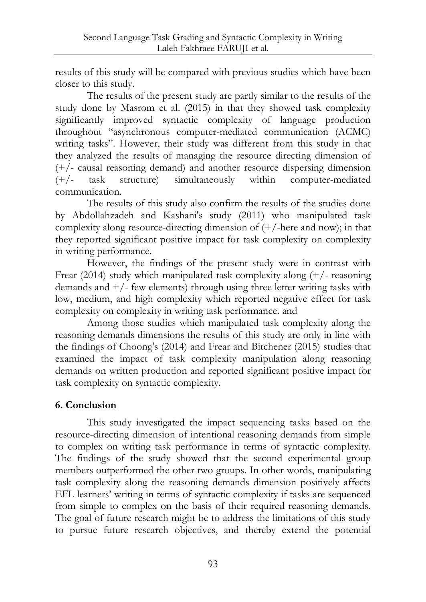results of this study will be compared with previous studies which have been closer to this study.

The results of the present study are partly similar to the results of the study done by Masrom et al. (2015) in that they showed task complexity significantly improved syntactic complexity of language production throughout "asynchronous computer-mediated communication (ACMC) writing tasks". However, their study was different from this study in that they analyzed the results of managing the resource directing dimension of (+/- causal reasoning demand) and another resource dispersing dimension (+/- task structure) simultaneously within computer-mediated communication.

The results of this study also confirm the results of the studies done by Abdollahzadeh and Kashani's study (2011) who manipulated task complexity along resource-directing dimension of  $(+)$ -here and now); in that they reported significant positive impact for task complexity on complexity in writing performance.

However, the findings of the present study were in contrast with Frear (2014) study which manipulated task complexity along (+/- reasoning demands and  $+/-$  few elements) through using three letter writing tasks with low, medium, and high complexity which reported negative effect for task complexity on complexity in writing task performance. and

Among those studies which manipulated task complexity along the reasoning demands dimensions the results of this study are only in line with the findings of Choong's (2014) and Frear and Bitchener (2015) studies that examined the impact of task complexity manipulation along reasoning demands on written production and reported significant positive impact for task complexity on syntactic complexity.

### **6. Conclusion**

This study investigated the impact sequencing tasks based on the resource-directing dimension of intentional reasoning demands from simple to complex on writing task performance in terms of syntactic complexity. The findings of the study showed that the second experimental group members outperformed the other two groups. In other words, manipulating task complexity along the reasoning demands dimension positively affects EFL learners" writing in terms of syntactic complexity if tasks are sequenced from simple to complex on the basis of their required reasoning demands. The goal of future research might be to address the limitations of this study to pursue future research objectives, and thereby extend the potential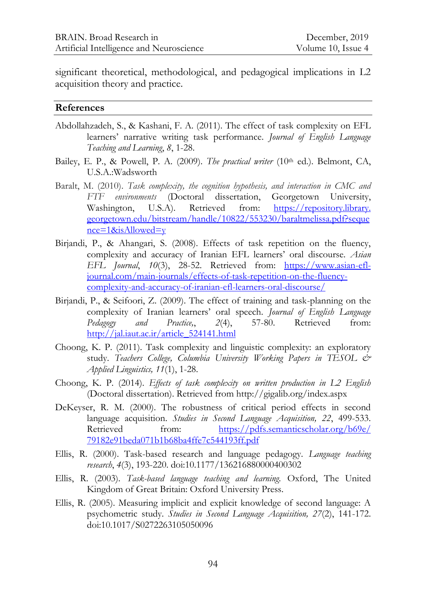significant theoretical, methodological, and pedagogical implications in L2 acquisition theory and practice.

#### **References**

- Abdollahzadeh, S., & Kashani, F. A. (2011). The effect of task complexity on EFL learners" narrative writing task performance. *Journal of English Language Teaching and Learning*, *8*, 1-28.
- Bailey, E. P., & Powell, P. A. (2009). *The practical writer* (10<sup>th</sup> ed.). Belmont, CA, U.S.A.:Wadsworth
- Baralt, M. (2010). *Task complexity, the cognition hypothesis, and interaction in CMC and FTF environments* (Doctoral dissertation, Georgetown University, Washington, U.S.A). Retrieved from: https://repository.library. georgetown.edu/bitstream/handle/10822/553230/baraltmelissa.pdf?seque nce=1&isAllowed=y
- Birjandi, P., & Ahangari, S. (2008). Effects of task repetition on the fluency, complexity and accuracy of Iranian EFL learners" oral discourse. *Asian EFL Journal*, *10*(3), 28-52. Retrieved from: [https://www.asian-efl](https://www.asian-efl-journal.com/main-journals/effects-of-task-repetition-on-the-fluency-complexity-and-accuracy-of-iranian-efl-learners-oral-discourse/)[journal.com/main-journals/effects-of-task-repetition-on-the-fluency](https://www.asian-efl-journal.com/main-journals/effects-of-task-repetition-on-the-fluency-complexity-and-accuracy-of-iranian-efl-learners-oral-discourse/)[complexity-and-accuracy-of-iranian-efl-learners-oral-discourse/](https://www.asian-efl-journal.com/main-journals/effects-of-task-repetition-on-the-fluency-complexity-and-accuracy-of-iranian-efl-learners-oral-discourse/)
- Birjandi, P., & Seifoori, Z. (2009). The effect of training and task-planning on the complexity of Iranian learners" oral speech. *Journal of English Language Pedagogy and Practice,*, *2*(4), 57-80. Retrieved from: [http://jal.iaut.ac.ir/article\\_524141.html](http://jal.iaut.ac.ir/article_524141.html)
- Choong, K. P. (2011). Task complexity and linguistic complexity: an exploratory study. *Teachers College, Columbia University Working Papers in TESOL & Applied Linguistics, 11*(1), 1-28.
- Choong, K. P. (2014). *Effects of task complexity on written production in L2 English* (Doctoral dissertation). Retrieved from http://gigalib.org/index.aspx
- DeKeyser, R. M. (2000). The robustness of critical period effects in second language acquisition. *Studies in Second Language Acquisition, 22*, 499-533. Retrieved from: [https://pdfs.semanticscholar.org/b69e/](https://pdfs.semanticscholar.org/b69e/%0b79182e91beda071b1b68ba4ffe7c544193ff.pdf) [79182e91beda071b1b68ba4ffe7c544193ff.pdf](https://pdfs.semanticscholar.org/b69e/%0b79182e91beda071b1b68ba4ffe7c544193ff.pdf)
- Ellis, R. (2000). Task-based research and language pedagogy. *Language teaching research*, *4*(3), 193-220. doi:10.1177/136216880000400302
- Ellis, R. (2003). *Task-based language teaching and learning.* Oxford, The United Kingdom of Great Britain: Oxford University Press.
- Ellis, R. (2005). Measuring implicit and explicit knowledge of second language: A psychometric study. *Studies in Second Language Acquisition, 27*(2), 141-172. doi:10.1017/S0272263105050096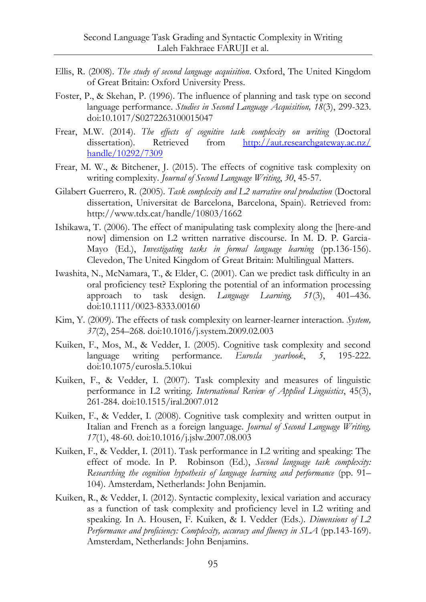- Ellis, R. (2008). *The study of second language acquisition*. Oxford, The United Kingdom of Great Britain: Oxford University Press.
- Foster, P., & Skehan, P. (1996). The influence of planning and task type on second language performance. *Studies in Second Language Acquisition, 18*(3), 299-323. doi:10.1017/S0272263100015047
- Frear, M.W. (2014). *The effects of cognitive task complexity on writing* (Doctoral dissertation). Retrieved from [http://aut.researchgateway.ac.nz/](http://aut.researchgateway.ac.nz/%0bhandle/10292/7309) [handle/10292/7309](http://aut.researchgateway.ac.nz/%0bhandle/10292/7309)
- Frear, M. W., & Bitchener, J. (2015). The effects of cognitive task complexity on writing complexity. *Journal of Second Language Writing*, *30*, 45-57.
- Gilabert Guerrero, R. (2005). *Task complexity and L2 narrative oral production* (Doctoral dissertation, Universitat de Barcelona, Barcelona, Spain). Retrieved from: <http://www.tdx.cat/handle/10803/1662>
- Ishikawa, T. (2006). The effect of manipulating task complexity along the [here-and now] dimension on L2 written narrative discourse. In M. D. P. Garcia-Mayo (Ed.), *Investigating tasks in formal language learning* (pp.136-156). Clevedon, The United Kingdom of Great Britain: Multilingual Matters.
- Iwashita, N., McNamara, T., & Elder, C. (2001). Can we predict task difficulty in an oral proficiency test? Exploring the potential of an information processing approach to task design. *Language Learning, 51*(3), 401–436. doi:10.1111/0023-8333.00160
- Kim, Y. (2009). The effects of task complexity on learner-learner interaction. *System, 37*(2), 254–268. doi:10.1016/j.system.2009.02.003
- Kuiken, F., Mos, M., & Vedder, I. (2005). Cognitive task complexity and second language writing performance. *Eurosla yearbook*, *5*, 195-222. doi:10.1075/eurosla.5.10kui
- Kuiken, F., & Vedder, I. (2007). Task complexity and measures of linguistic performance in L2 writing. *International Review of Applied Linguistics*, 45(3), 261-284. doi:10.1515/iral.2007.012
- Kuiken, F., & Vedder, I. (2008). Cognitive task complexity and written output in Italian and French as a foreign language. *Journal of Second Language Writing, 17*(1), 48-60. doi:10.1016/j.jslw.2007.08.003
- Kuiken, F., & Vedder, I. (2011). Task performance in L2 writing and speaking: The effect of mode. In P. Robinson (Ed.), *Second language task complexity: Researching the cognition hypothesis of language learning and performance* (pp. 91– 104). Amsterdam, Netherlands: John Benjamin.
- Kuiken, R., & Vedder, I. (2012). Syntactic complexity, lexical variation and accuracy as a function of task complexity and proficiency level in L2 writing and speaking. In A. Housen, F. Kuiken, & I. Vedder (Eds.). *Dimensions of L2 Performance and proficiency: Complexity, accuracy and fluency in SLA* (pp.143-169). Amsterdam, Netherlands: John Benjamins.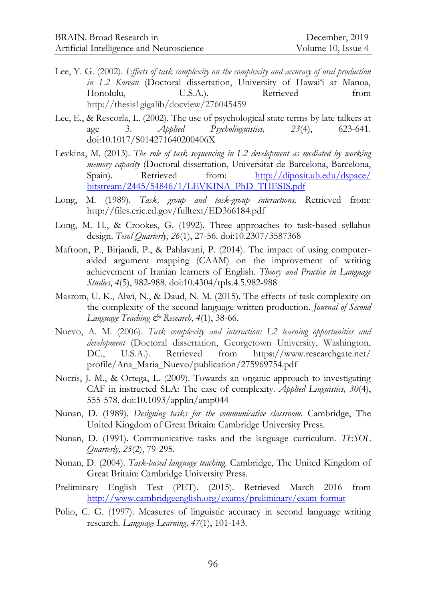- Lee, Y. G. (2002). *Effects of task complexity on the complexity and accuracy of oral production*  in L2 Korean (Doctoral dissertation, University of Hawai'i at Manoa, Honolulu, U.S.A.). Retrieved from http://thesis1gigalib/docview/276045459
- Lee, E., & Rescorla, L. (2002). The use of psychological state terms by late talkers at age 3. *Applied Psycholinguistics, 23*(4), 623-641. doi:10.1017/S014271640200406X
- Levkina, M. (2013). *The role of task sequencing in L2 development as mediated by working memory capacity* (Doctoral dissertation, Universitat de Barcelona, Barcelona, Spain). Retrieved from: [http://diposit.ub.edu/dspace/](http://diposit.ub.edu/dspace/%0bbitstream/2445/54846/1/LEVKINA_PhD_THESIS.pdf) [bitstream/2445/54846/1/LEVKINA\\_PhD\\_THESIS.pdf](http://diposit.ub.edu/dspace/%0bbitstream/2445/54846/1/LEVKINA_PhD_THESIS.pdf)
- Long, M. (1989). *Task, group and task-group interactions.* Retrieved from: http://files.eric.ed.gov/fulltext/ED366184.pdf
- Long, M. H., & Crookes, G. (1992). Three approaches to task-based syllabus design. *Tesol Quarterly*, *26*(1), 27-56. doi:10.2307/3587368
- Maftoon, P., Birjandi, P., & Pahlavani, P. (2014). The impact of using computeraided argument mapping (CAAM) on the improvement of writing achievement of Iranian learners of English. *Theory and Practice in Language Studies*, *4*(5), 982-988. doi:10.4304/tpls.4.5.982-988
- Masrom, U. K., Alwi, N., & Daud, N. M. (2015). The effects of task complexity on the complexity of the second language written production. *Journal of Second Language Teaching & Research*, *4*(1), 38-66.
- Nuevo, A. M. (2006). *Task complexity and interaction: L2 learning opportunities and development* (Doctoral dissertation, Georgetown University, Washington, DC., U.S.A.). Retrieved from https://www.researchgate.net/ profile/Ana\_Maria\_Nuevo/publication/275969754.pdf
- Norris, J. M., & Ortega, L. (2009). Towards an organic approach to investigating CAF in instructed SLA: The case of complexity. *Applied Linguistics, 30*(4), 555-578. doi:10.1093/applin/amp044
- Nunan, D. (1989). *Designing tasks for the communicative classroom.* Cambridge, The United Kingdom of Great Britain: Cambridge University Press.
- Nunan, D. (1991). Communicative tasks and the language curriculum. *TESOL Quarterly, 25*(2), 79-295.
- Nunan, D. (2004). *Task-based language teaching*. Cambridge, The United Kingdom of Great Britain: Cambridge University Press.
- Preliminary English Test (PET). (2015). Retrieved March 2016 from <http://www.cambridgeenglish.org/exams/preliminary/exam-format>
- Polio, C. G. (1997). Measures of linguistic accuracy in second language writing research. *Language Learning, 47*(1), 101-143.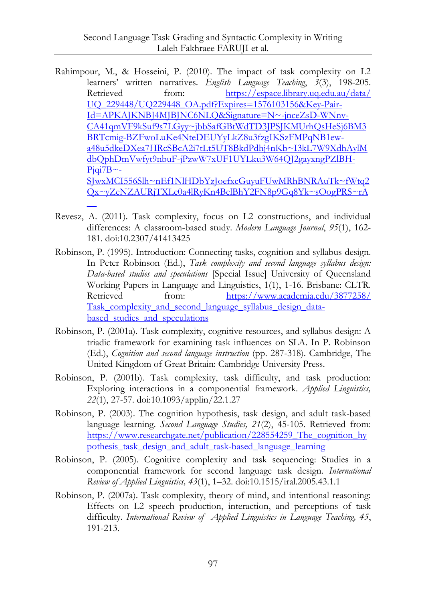- Rahimpour, M., & Hosseini, P. (2010). The impact of task complexity on L2 learners" written narratives. *English Language Teaching*, *3*(3), 198-205. Retrieved from: [https://espace.library.uq.edu.au/data/](https://espace.library.uq.edu.au/data/%0bUQ_229448/UQ229448_OA.pdf?Expires=1576103156&Key-Pair-Id=APKAJKNBJ4MJBJNC6NLQ&Signature=N~-jnceZsD-WNnv-CA41qmVF9kSuf9s7LGyy~jbbSafGBtWdTD3JPSJKMUrhQsHeSj6BM3BRTcmig-BZFwoLuKe4NteDEUYyLkZ8u3fzgIKSzFMPqNB1ew-a48u5dkeDXea7HRcSBcA2i7tLt5UT8BkdPdhj4nKb~I3kL7W9XdhAylMdbQphDmVwfyt9nbuF-jPzwW7xUF1UYLku3W64QJ2gayxngPZlBH-Pjqi7B~-SJwxMCI556Slh~nEf1NlHDbYzJoefxcGuyuFUwMRhBNRAuTk~fWtq2Qx~yZeNZAURjTXLe0a4lRyKn4BelBhY2FN8p9Gq8Yk~sOogPRS~rA__) [UQ\\_229448/UQ229448\\_OA.pdf?Expires=1576103156&Key-Pair-](https://espace.library.uq.edu.au/data/%0bUQ_229448/UQ229448_OA.pdf?Expires=1576103156&Key-Pair-Id=APKAJKNBJ4MJBJNC6NLQ&Signature=N~-jnceZsD-WNnv-CA41qmVF9kSuf9s7LGyy~jbbSafGBtWdTD3JPSJKMUrhQsHeSj6BM3BRTcmig-BZFwoLuKe4NteDEUYyLkZ8u3fzgIKSzFMPqNB1ew-a48u5dkeDXea7HRcSBcA2i7tLt5UT8BkdPdhj4nKb~I3kL7W9XdhAylMdbQphDmVwfyt9nbuF-jPzwW7xUF1UYLku3W64QJ2gayxngPZlBH-Pjqi7B~-SJwxMCI556Slh~nEf1NlHDbYzJoefxcGuyuFUwMRhBNRAuTk~fWtq2Qx~yZeNZAURjTXLe0a4lRyKn4BelBhY2FN8p9Gq8Yk~sOogPRS~rA__)[Id=APKAJKNBJ4MJBJNC6NLQ&Signature=N~-jnceZsD-WNnv-](https://espace.library.uq.edu.au/data/%0bUQ_229448/UQ229448_OA.pdf?Expires=1576103156&Key-Pair-Id=APKAJKNBJ4MJBJNC6NLQ&Signature=N~-jnceZsD-WNnv-CA41qmVF9kSuf9s7LGyy~jbbSafGBtWdTD3JPSJKMUrhQsHeSj6BM3BRTcmig-BZFwoLuKe4NteDEUYyLkZ8u3fzgIKSzFMPqNB1ew-a48u5dkeDXea7HRcSBcA2i7tLt5UT8BkdPdhj4nKb~I3kL7W9XdhAylMdbQphDmVwfyt9nbuF-jPzwW7xUF1UYLku3W64QJ2gayxngPZlBH-Pjqi7B~-SJwxMCI556Slh~nEf1NlHDbYzJoefxcGuyuFUwMRhBNRAuTk~fWtq2Qx~yZeNZAURjTXLe0a4lRyKn4BelBhY2FN8p9Gq8Yk~sOogPRS~rA__)[CA41qmVF9kSuf9s7LGyy~jbbSafGBtWdTD3JPSJKMUrhQsHeSj6BM3](https://espace.library.uq.edu.au/data/%0bUQ_229448/UQ229448_OA.pdf?Expires=1576103156&Key-Pair-Id=APKAJKNBJ4MJBJNC6NLQ&Signature=N~-jnceZsD-WNnv-CA41qmVF9kSuf9s7LGyy~jbbSafGBtWdTD3JPSJKMUrhQsHeSj6BM3BRTcmig-BZFwoLuKe4NteDEUYyLkZ8u3fzgIKSzFMPqNB1ew-a48u5dkeDXea7HRcSBcA2i7tLt5UT8BkdPdhj4nKb~I3kL7W9XdhAylMdbQphDmVwfyt9nbuF-jPzwW7xUF1UYLku3W64QJ2gayxngPZlBH-Pjqi7B~-SJwxMCI556Slh~nEf1NlHDbYzJoefxcGuyuFUwMRhBNRAuTk~fWtq2Qx~yZeNZAURjTXLe0a4lRyKn4BelBhY2FN8p9Gq8Yk~sOogPRS~rA__) [BRTcmig-BZFwoLuKe4NteDEUYyLkZ8u3fzgIKSzFMPqNB1ew](https://espace.library.uq.edu.au/data/%0bUQ_229448/UQ229448_OA.pdf?Expires=1576103156&Key-Pair-Id=APKAJKNBJ4MJBJNC6NLQ&Signature=N~-jnceZsD-WNnv-CA41qmVF9kSuf9s7LGyy~jbbSafGBtWdTD3JPSJKMUrhQsHeSj6BM3BRTcmig-BZFwoLuKe4NteDEUYyLkZ8u3fzgIKSzFMPqNB1ew-a48u5dkeDXea7HRcSBcA2i7tLt5UT8BkdPdhj4nKb~I3kL7W9XdhAylMdbQphDmVwfyt9nbuF-jPzwW7xUF1UYLku3W64QJ2gayxngPZlBH-Pjqi7B~-SJwxMCI556Slh~nEf1NlHDbYzJoefxcGuyuFUwMRhBNRAuTk~fWtq2Qx~yZeNZAURjTXLe0a4lRyKn4BelBhY2FN8p9Gq8Yk~sOogPRS~rA__)[a48u5dkeDXea7HRcSBcA2i7tLt5UT8BkdPdhj4nKb~I3kL7W9XdhAylM](https://espace.library.uq.edu.au/data/%0bUQ_229448/UQ229448_OA.pdf?Expires=1576103156&Key-Pair-Id=APKAJKNBJ4MJBJNC6NLQ&Signature=N~-jnceZsD-WNnv-CA41qmVF9kSuf9s7LGyy~jbbSafGBtWdTD3JPSJKMUrhQsHeSj6BM3BRTcmig-BZFwoLuKe4NteDEUYyLkZ8u3fzgIKSzFMPqNB1ew-a48u5dkeDXea7HRcSBcA2i7tLt5UT8BkdPdhj4nKb~I3kL7W9XdhAylMdbQphDmVwfyt9nbuF-jPzwW7xUF1UYLku3W64QJ2gayxngPZlBH-Pjqi7B~-SJwxMCI556Slh~nEf1NlHDbYzJoefxcGuyuFUwMRhBNRAuTk~fWtq2Qx~yZeNZAURjTXLe0a4lRyKn4BelBhY2FN8p9Gq8Yk~sOogPRS~rA__) [dbQphDmVwfyt9nbuF-jPzwW7xUF1UYLku3W64QJ2gayxngPZlBH-](https://espace.library.uq.edu.au/data/%0bUQ_229448/UQ229448_OA.pdf?Expires=1576103156&Key-Pair-Id=APKAJKNBJ4MJBJNC6NLQ&Signature=N~-jnceZsD-WNnv-CA41qmVF9kSuf9s7LGyy~jbbSafGBtWdTD3JPSJKMUrhQsHeSj6BM3BRTcmig-BZFwoLuKe4NteDEUYyLkZ8u3fzgIKSzFMPqNB1ew-a48u5dkeDXea7HRcSBcA2i7tLt5UT8BkdPdhj4nKb~I3kL7W9XdhAylMdbQphDmVwfyt9nbuF-jPzwW7xUF1UYLku3W64QJ2gayxngPZlBH-Pjqi7B~-SJwxMCI556Slh~nEf1NlHDbYzJoefxcGuyuFUwMRhBNRAuTk~fWtq2Qx~yZeNZAURjTXLe0a4lRyKn4BelBhY2FN8p9Gq8Yk~sOogPRS~rA__) $Piqi7B$ ~-[SJwxMCI556Slh~nEf1NlHDbYzJoefxcGuyuFUwMRhBNRAuTk~fWtq2](https://espace.library.uq.edu.au/data/%0bUQ_229448/UQ229448_OA.pdf?Expires=1576103156&Key-Pair-Id=APKAJKNBJ4MJBJNC6NLQ&Signature=N~-jnceZsD-WNnv-CA41qmVF9kSuf9s7LGyy~jbbSafGBtWdTD3JPSJKMUrhQsHeSj6BM3BRTcmig-BZFwoLuKe4NteDEUYyLkZ8u3fzgIKSzFMPqNB1ew-a48u5dkeDXea7HRcSBcA2i7tLt5UT8BkdPdhj4nKb~I3kL7W9XdhAylMdbQphDmVwfyt9nbuF-jPzwW7xUF1UYLku3W64QJ2gayxngPZlBH-Pjqi7B~-SJwxMCI556Slh~nEf1NlHDbYzJoefxcGuyuFUwMRhBNRAuTk~fWtq2Qx~yZeNZAURjTXLe0a4lRyKn4BelBhY2FN8p9Gq8Yk~sOogPRS~rA__) [Qx~yZeNZAURjTXLe0a4lRyKn4BelBhY2FN8p9Gq8Yk~sOogPRS~rA](https://espace.library.uq.edu.au/data/%0bUQ_229448/UQ229448_OA.pdf?Expires=1576103156&Key-Pair-Id=APKAJKNBJ4MJBJNC6NLQ&Signature=N~-jnceZsD-WNnv-CA41qmVF9kSuf9s7LGyy~jbbSafGBtWdTD3JPSJKMUrhQsHeSj6BM3BRTcmig-BZFwoLuKe4NteDEUYyLkZ8u3fzgIKSzFMPqNB1ew-a48u5dkeDXea7HRcSBcA2i7tLt5UT8BkdPdhj4nKb~I3kL7W9XdhAylMdbQphDmVwfyt9nbuF-jPzwW7xUF1UYLku3W64QJ2gayxngPZlBH-Pjqi7B~-SJwxMCI556Slh~nEf1NlHDbYzJoefxcGuyuFUwMRhBNRAuTk~fWtq2Qx~yZeNZAURjTXLe0a4lRyKn4BelBhY2FN8p9Gq8Yk~sOogPRS~rA__)
- Revesz, A. (2011). Task complexity, focus on L2 constructions, and individual differences: A classroom-based study. *Modern Language Journal*, *95*(1), 162- 181. doi:10.2307/41413425

 $\overline{\phantom{0}}$ 

- Robinson, P. (1995). Introduction: Connecting tasks, cognition and syllabus design. In Peter Robinson (Ed.), *Task complexity and second language syllabus design: Data-based studies and speculations* [Special Issue] University of Queensland Working Papers in Language and Linguistics, 1(1), 1-16. Brisbane: CLTR. Retrieved from: [https://www.academia.edu/3877258/](https://www.academia.edu/3877258/%0bTask_complexity_and_second_language_syllabus_design_data-based_studies_and_speculations) Task complexity and second language syllabus design databased studies and speculations
- Robinson, P. (2001a). Task complexity, cognitive resources, and syllabus design: A triadic framework for examining task influences on SLA. In P. Robinson (Ed.), *Cognition and second language instruction* (pp. 287-318). Cambridge, The United Kingdom of Great Britain: Cambridge University Press.
- Robinson, P. (2001b). Task complexity, task difficulty, and task production: Exploring interactions in a componential framework. *Applied Linguistics, 22*(1), 27-57. doi:10.1093/applin/22.1.27
- Robinson, P. (2003). The cognition hypothesis, task design, and adult task-based language learning. *Second Language Studies, 21*(2), 45-105. Retrieved from: https://www.researchgate.net/publication/228554259 The cognition hy [pothesis\\_task\\_design\\_and\\_adult\\_task-based\\_language\\_learning](https://www.researchgate.net/publication/228554259_The_cognition_hypothesis_task_design_and_adult_task-based_language_learning)
- Robinson, P. (2005). Cognitive complexity and task sequencing: Studies in a componential framework for second language task design. *International Review of Applied Linguistics, 43*(1), 1–32. doi:10.1515/iral.2005.43.1.1
- Robinson, P. (2007a). Task complexity, theory of mind, and intentional reasoning: Effects on L2 speech production, interaction, and perceptions of task difficulty. *International Review of Applied Linguistics in Language Teaching, 45*, 191-213.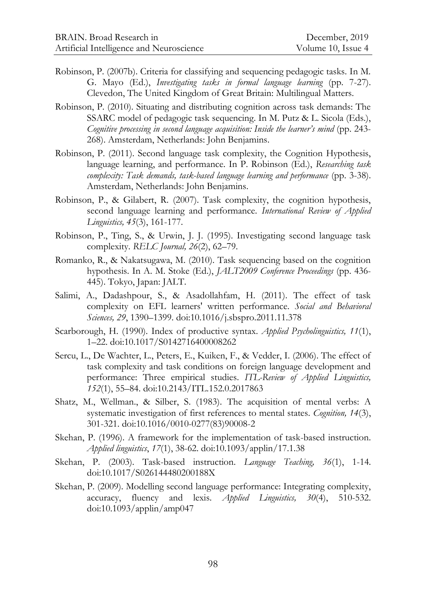- Robinson, P. (2007b). Criteria for classifying and sequencing pedagogic tasks. In M. G. Mayo (Ed.), *Investigating tasks in formal language learning* (pp. 7-27). Clevedon, The United Kingdom of Great Britain: Multilingual Matters.
- Robinson, P. (2010). Situating and distributing cognition across task demands: The SSARC model of pedagogic task sequencing. In M. Putz & L. Sicola (Eds.), *Cognitive processing in second language acquisition: Inside the learner's mind* (pp. 243- 268). Amsterdam, Netherlands: John Benjamins.
- Robinson, P. (2011). Second language task complexity, the Cognition Hypothesis, language learning, and performance. In P. Robinson (Ed.), *Researching task complexity: Task demands, task-based language learning and performance* (pp. 3-38). Amsterdam, Netherlands: John Benjamins.
- Robinson, P., & Gilabert, R. (2007). Task complexity, the cognition hypothesis, second language learning and performance. *International Review of Applied Linguistics, 45*(3), 161-177.
- Robinson, P., Ting, S., & Urwin, J. J. (1995). Investigating second language task complexity. *RELC Journal, 26*(2), 62–79.
- Romanko, R., & Nakatsugawa, M. (2010). Task sequencing based on the cognition hypothesis. In A. M. Stoke (Ed.), *JALT2009 Conference Proceedings* (pp. 436- 445). Tokyo, Japan: JALT.
- Salimi, A., Dadashpour, S., & Asadollahfam, H. (2011). The effect of task complexity on EFL learners' written performance. *Social and Behavioral Sciences, 29*, 1390–1399. doi:10.1016/j.sbspro.2011.11.378
- Scarborough, H. (1990). Index of productive syntax. *Applied Psycholinguistics, 11*(1), 1–22. doi:10.1017/S0142716400008262
- Sercu, L., De Wachter, L., Peters, E., Kuiken, F., & Vedder, I. (2006). The effect of task complexity and task conditions on foreign language development and performance: Three empirical studies. *ITL-Review of Applied Linguistics, 152*(1), 55–84. doi:10.2143/ITL.152.0.2017863
- Shatz, M., Wellman., & Silber, S. (1983). The acquisition of mental verbs: A systematic investigation of first references to mental states. *Cognition, 14*(3), 301-321. doi:10.1016/0010-0277(83)90008-2
- Skehan, P. (1996). A framework for the implementation of task-based instruction. *Applied linguistics*, *17*(1), 38-62. doi:10.1093/applin/17.1.38
- Skehan, P. (2003). Task-based instruction. *Language Teaching, 36*(1), 1-14. doi:10.1017/S026144480200188X
- Skehan, P. (2009). Modelling second language performance: Integrating complexity, accuracy, fluency and lexis. *Applied Linguistics, 30*(4), 510-532. doi:10.1093/applin/amp047